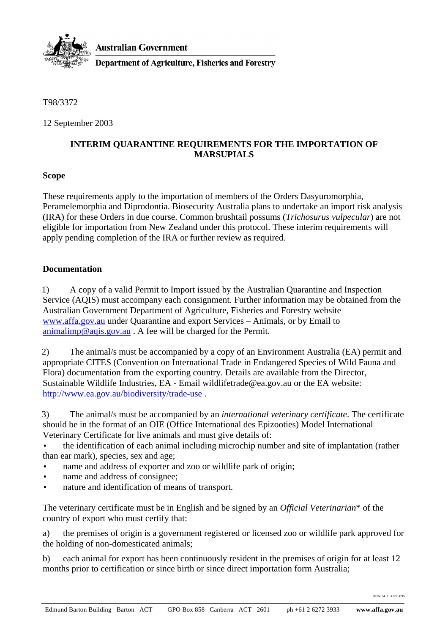

### T98/3372

12 September 2003

## **INTERIM QUARANTINE REQUIREMENTS FOR THE IMPORTATION OF MARSUPIALS**

### **Scope**

These requirements apply to the importation of members of the Orders Dasyuromorphia, Peramelemorphia and Diprodontia. Biosecurity Australia plans to undertake an import risk analysis (IRA) for these Orders in due course. Common brushtail possums (*Trichosurus vulpecular*) are not eligible for importation from New Zealand under this protocol. These interim requirements will apply pending completion of the IRA or further review as required.

## **Documentation**

1) A copy of a valid Permit to Import issued by the Australian Quarantine and Inspection Service (AQIS) must accompany each consignment. Further information may be obtained from the Australian Government Department of Agriculture, Fisheries and Forestry website www.affa.gov.au under Quarantine and export Services – Animals, or by Email to animalimp@aqis.gov.au . A fee will be charged for the Permit.

2) The animal/s must be accompanied by a copy of an Environment Australia (EA) permit and appropriate CITES (Convention on International Trade in Endangered Species of Wild Fauna and Flora) documentation from the exporting country. Details are available from the Director, Sustainable Wildlife Industries, EA - Email wildlifetrade@ea.gov.au or the EA website: http://www.ea.gov.au/biodiversity/trade-use .

3) The animal/s must be accompanied by an *international veterinary certificate*. The certificate should be in the format of an OIE (Office International des Epizooties) Model International Veterinary Certificate for live animals and must give details of:

• the identification of each animal including microchip number and site of implantation (rather than ear mark), species, sex and age;

- name and address of exporter and zoo or wildlife park of origin;
- name and address of consignee;
- nature and identification of means of transport.

The veterinary certificate must be in English and be signed by an *Official Veterinarian*\* of the country of export who must certify that:

a) the premises of origin is a government registered or licensed zoo or wildlife park approved for the holding of non-domesticated animals;

b) each animal for export has been continuously resident in the premises of origin for at least 12 months prior to certification or since birth or since direct importation form Australia;

ABN 24 113 085 695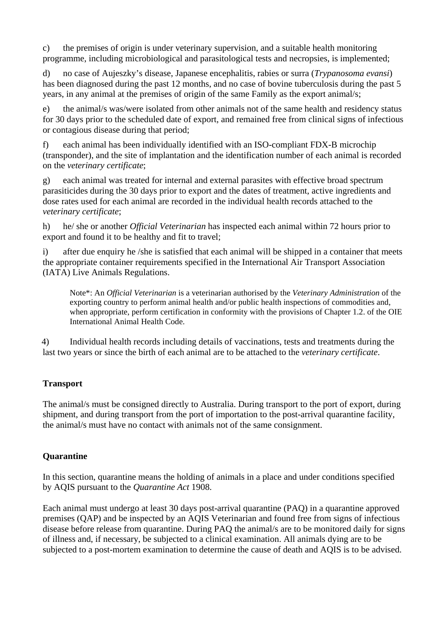c) the premises of origin is under veterinary supervision, and a suitable health monitoring programme, including microbiological and parasitological tests and necropsies, is implemented;

d) no case of Aujeszky's disease, Japanese encephalitis, rabies or surra (*Trypanosoma evansi*) has been diagnosed during the past 12 months, and no case of bovine tuberculosis during the past 5 years, in any animal at the premises of origin of the same Family as the export animal/s;

e) the animal/s was/were isolated from other animals not of the same health and residency status for 30 days prior to the scheduled date of export, and remained free from clinical signs of infectious or contagious disease during that period;

f) each animal has been individually identified with an ISO-compliant FDX-B microchip (transponder), and the site of implantation and the identification number of each animal is recorded on the *veterinary certificate*;

g) each animal was treated for internal and external parasites with effective broad spectrum parasiticides during the 30 days prior to export and the dates of treatment, active ingredients and dose rates used for each animal are recorded in the individual health records attached to the *veterinary certificate*;

h) he/ she or another *Official Veterinarian* has inspected each animal within 72 hours prior to export and found it to be healthy and fit to travel;

i) after due enquiry he /she is satisfied that each animal will be shipped in a container that meets the appropriate container requirements specified in the International Air Transport Association (IATA) Live Animals Regulations.

Note\*: An *Official Veterinarian* is a veterinarian authorised by the *Veterinary Administration* of the exporting country to perform animal health and/or public health inspections of commodities and, when appropriate, perform certification in conformity with the provisions of Chapter 1.2. of the OIE International Animal Health Code.

4) Individual health records including details of vaccinations, tests and treatments during the last two years or since the birth of each animal are to be attached to the *veterinary certificate*.

# **Transport**

The animal/s must be consigned directly to Australia. During transport to the port of export, during shipment, and during transport from the port of importation to the post-arrival quarantine facility, the animal/s must have no contact with animals not of the same consignment.

## **Quarantine**

In this section, quarantine means the holding of animals in a place and under conditions specified by AQIS pursuant to the *Quarantine Act* 1908.

Each animal must undergo at least 30 days post-arrival quarantine (PAQ) in a quarantine approved premises (QAP) and be inspected by an AQIS Veterinarian and found free from signs of infectious disease before release from quarantine. During PAQ the animal/s are to be monitored daily for signs of illness and, if necessary, be subjected to a clinical examination. All animals dying are to be subjected to a post-mortem examination to determine the cause of death and AQIS is to be advised.